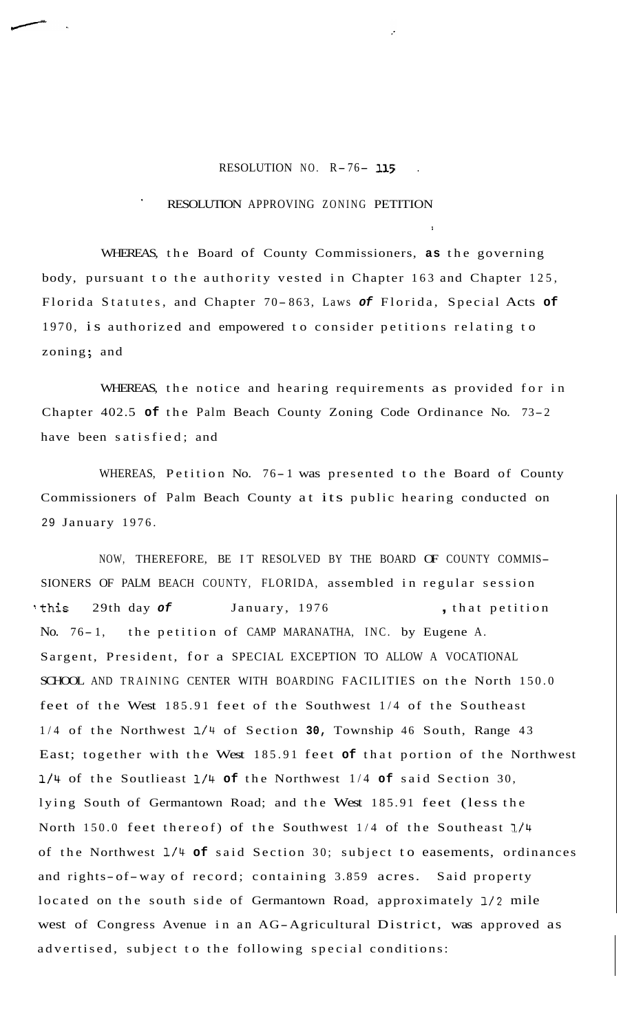## RESOLUTION NO. R- 76- **<sup>115</sup>**.

!

## RESOLUTION APPROVING ZONING PETITION

WHEREAS, the Board of County Commissioners, **as** the governing body, pursuant to the authority vested in Chapter 163 and Chapter 125, Florida Statutes, and Chapter 70-863, Laws of Florida, Special Acts of 1970, is authorized and empowered to consider petitions relating to zoning; and

WHEREAS, the notice and hearing requirements as provided for in Chapter 402.5 **of** the Palm Beach County Zoning Code Ordinance No. 73-2 have been satisfied; and

WHEREAS, Petition No. 76-1 was presented to the Board of County Commissioners of Palm Beach County at its public hearing conducted on 29 January 1976.

NOW, THEREFORE, BE IT RESOLVED BY THE BOARD OF COUNTY COMMIS-SIONERS OF PALM BEACH COUNTY, FLORIDA, assembled in regular session ?this 29th day *of* January, 1976 , that petition No. 76-1, the petition of CAMP MARANATHA, INC. by Eugene A. Sargent, President, for a SPECIAL EXCEPTION TO ALLOW A VOCATIONAL SCHOOL AND TRAINING CENTER WITH BOARDING FACILITIES on the North 150.0 feet of the West 185.91 feet of the Southwest 1/4 of the Southeast 1/4 of the Northwest **1/4** of Section **30,** Township 46 South, Range 43 East; together with the West 185.91 feet **of** that portion of the Northwest **1/4** of the Soutlieast **1/4 of** the Northwest 1/4 **of** said Section 30, lying South of Germantown Road; and the West 185.91 feet (less the North 150.0 feet thereof) of the Southwest 1/4 of the Southeast **1/4**  of the Northwest **1/4 of** said Section 30; subject to easements, ordinances and rights-of-way of record; containing 3.859 acres. Said property located on the south side of Germantown Road, approximately *112* mile west of Congress Avenue in an AG-Agricultural District, was approved as advertised, subject to the following special conditions: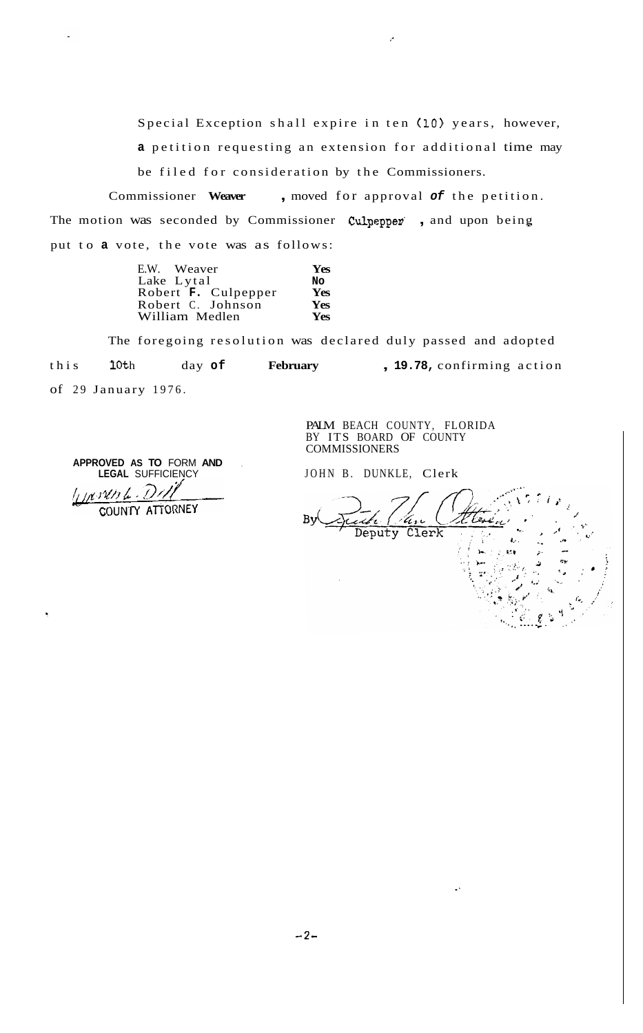Special Exception shall expire in ten **(10)** years, however, **a** petition requesting an extension for additional time may be filed for consideration by the Commissioners.

Commissioner **Weaver** , moved for approval *of* the petition. The motion was seconded by Commissioner Culpepper, and upon being put to **a** vote, the vote was as follows:

| E.W. Weaver         | <b>Yes</b> |
|---------------------|------------|
| Lake Lytal          | No         |
| Robert F. Culpepper | Yes        |
| Robert C. Johnson   | <b>Yes</b> |
| William Medlen      | <b>Yes</b> |

The foregoing resolution was declared duly passed and adopted this 10th day of February , 19.78, confirming action of 29 January 1976.

> PALM BEACH COUNTY, FLORIDA BY ITS BOARD OF COUNTY COMMISSIONERS

JOHN B. DUNKLE, Clerk

Clerk Deputy  $\frac{1}{2}$ .

**APPROVED AS TO** FORM **AND** , **LEGAL** SUFFICIENCY  $M$  sun  $L$ .

COUNTY ATTORNEY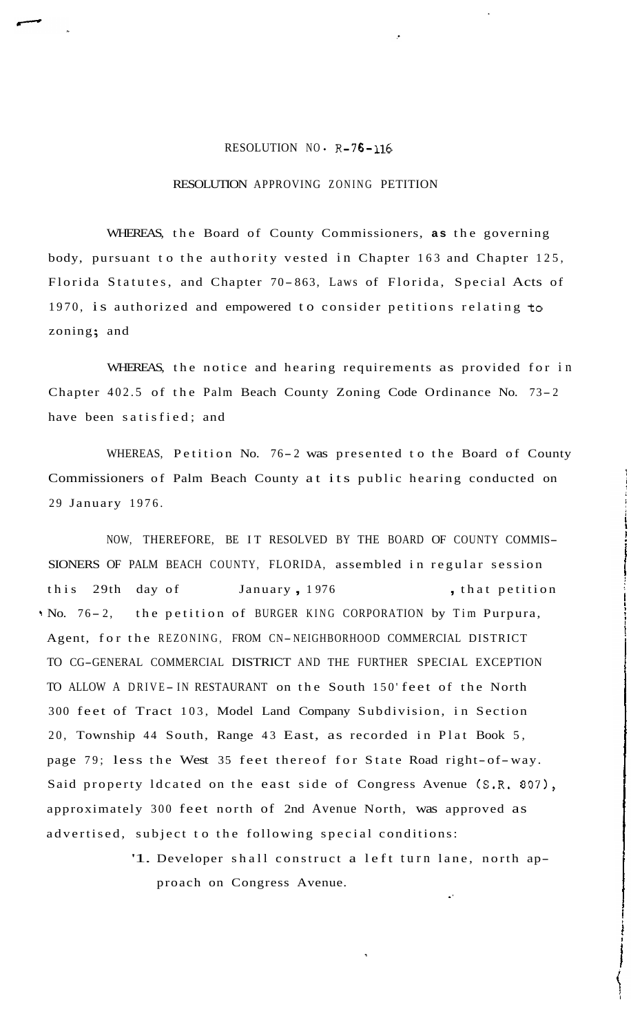## RESOLUTION NO. R-76-116

## RESOLUTION APPROVING ZONING PETITION

WHEREAS, the Board of County Commissioners, **as** the governing body, pursuant to the authority vested in Chapter 163 and Chapter 125, Florida Statutes, and Chapter 70- 863, Laws of Florida, Special Acts of 1970, is authorized and empowered to consider petitions relating to zoning; and

WHEREAS, the notice and hearing requirements as provided for in Chapter 402.5 of the Palm Beach County Zoning Code Ordinance No. 73- <sup>2</sup> have been satisfied; and

WHEREAS, Petition No. 76-2 was presented to the Board of County Commissioners of Palm Beach County at its public hearing conducted on 29 January 1976.

NOW, THEREFORE, BE IT RESOLVED BY THE BOARD OF COUNTY COMMIS-SIONERS OF PALM BEACH COUNTY, FLORIDA, assembled in regular session this 29th day of January, 1976 , that petition . No. 76-2, the petition of BURGER KING CORPORATION by Tim Purpura, Agent, for the REZONING, FROM CN-NEIGHBORHOOD COMMERCIAL DISTRICT TO CG-GENERAL COMMERCIAL DISTRICT AND THE FURTHER SPECIAL EXCEPTION TO ALLOW A DRIVE-IN RESTAURANT on the South 150' feet of the North 300 feet of Tract 103, Model Land Company Subdivision, in Section 20, Township 44 South, Range 43 East, as recorded in Plat Book 5, page 79; less the West 35 feet thereof for State Road right-of-way. Said property Idcated on the east side of Congress Avenue (S.R. 807), approximately 300 feet north of 2nd Avenue North, was approved as advertised, subject to the following special conditions:

> '1. Developer shall construct a left turn lane, north approach on Congress Avenue. .'